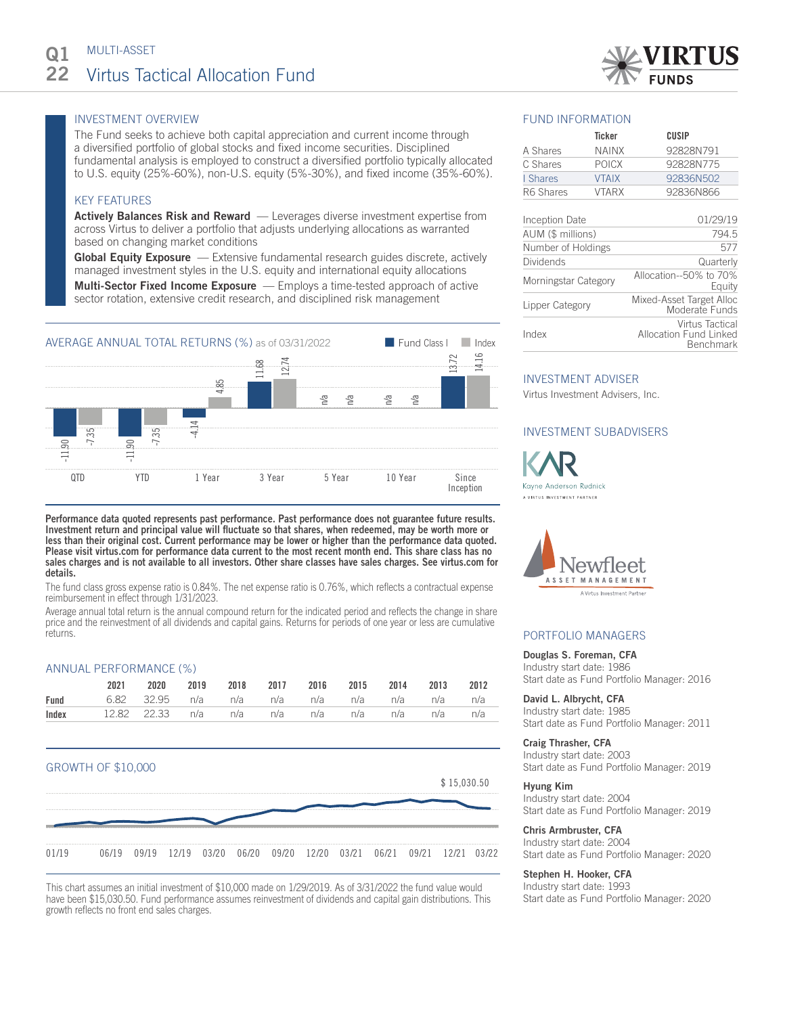

# INVESTMENT OVERVIEW

The Fund seeks to achieve both capital appreciation and current income through a diversified portfolio of global stocks and fixed income securities. Disciplined fundamental analysis is employed to construct a diversified portfolio typically allocated to U.S. equity (25%-60%), non-U.S. equity (5%-30%), and fixed income (35%-60%).

# KEY FEATURES

**Actively Balances Risk and Reward** — Leverages diverse investment expertise from across Virtus to deliver a portfolio that adjusts underlying allocations as warranted based on changing market conditions

**Global Equity Exposure** — Extensive fundamental research guides discrete, actively managed investment styles in the U.S. equity and international equity allocations Multi-Sector Fixed Income Exposure — Employs a time-tested approach of active sector rotation, extensive credit research, and disciplined risk management



Performance data quoted represents past performance. Past performance does not guarantee future results. Investment return and principal value will fluctuate so that shares, when redeemed, may be worth more or less than their original cost. Current performance may be lower or higher than the performance data quoted. Please visit virtus.com for performance data current to the most recent month end. This share class has no sales charges and is not available to all investors. Other share classes have sales charges. See virtus.com for details.

The fund class gross expense ratio is 0.84%. The net expense ratio is 0.76%, which reflects a contractual expense reimbursement in effect through 1/31/2023.

Average annual total return is the annual compound return for the indicated period and reflects the change in share price and the reinvestment of all dividends and capital gains. Returns for periods of one year or less are cumulative returns.

# ANNUAL PERFORMANCE (%)

| 2021                                                     |  | 2020 2019 2018 2017 2016 2015 2014 2013 2012 |  |  |  |
|----------------------------------------------------------|--|----------------------------------------------|--|--|--|
| <b>Fund</b> 6.82 32.95 n/a n/a n/a n/a n/a n/a n/a n/a   |  |                                              |  |  |  |
| <b>Index</b> 12.82 22.33 n/a n/a n/a n/a n/a n/a n/a n/a |  |                                              |  |  |  |



This chart assumes an initial investment of \$10,000 made on 1/29/2019. As of 3/31/2022 the fund value would have been \$15,030.50. Fund performance assumes reinvestment of dividends and capital gain distributions. This growth reflects no front end sales charges.

# FUND INFORMATION

|               | Ticker       | CUSIP     |
|---------------|--------------|-----------|
| A Shares      | <b>NAINX</b> | 92828N791 |
| C Shares      | <b>POICX</b> | 92828N775 |
| <b>Shares</b> | <b>VTAIX</b> | 92836N502 |
| R6 Shares     | <b>VTARX</b> | 92836N866 |
|               |              |           |

| Inception Date       | 01/29/19                                                      |
|----------------------|---------------------------------------------------------------|
| AUM (\$ millions)    | 794.5                                                         |
| Number of Holdings   | 577                                                           |
| Dividends            | Quarterly                                                     |
| Morningstar Category | Allocation--50% to 70%<br>Equity                              |
| Lipper Category      | Mixed-Asset Target Alloc<br>Moderate Funds                    |
| Index                | Virtus Tactical<br><b>Allocation Fund Linked</b><br>Benchmark |

## INVESTMENT ADVISER

Virtus Investment Advisers, Inc.

# INVESTMENT SUBADVISERS

Kayne Anderson Rudnick A VIRTUS INVESTMENT PARTNER



# PORTFOLIO MANAGERS

# Douglas S. Foreman, CFA

Industry start date: 1986 Start date as Fund Portfolio Manager: 2016

David L. Albrycht, CFA Industry start date: 1985 Start date as Fund Portfolio Manager: 2011

#### Craig Thrasher, CFA

Industry start date: 2003 Start date as Fund Portfolio Manager: 2019

### Hyung Kim

Industry start date: 2004 Start date as Fund Portfolio Manager: 2019

### Chris Armbruster, CFA Industry start date: 2004

Start date as Fund Portfolio Manager: 2020

## Stephen H. Hooker, CFA

Industry start date: 1993 Start date as Fund Portfolio Manager: 2020